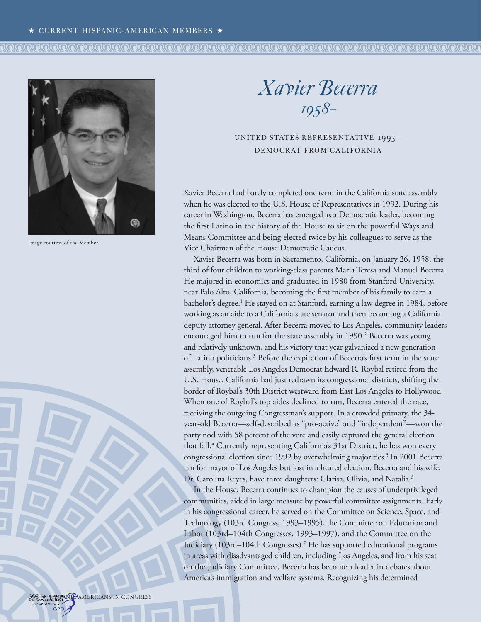## 



Image courtesy of the Member



*Xavier Becerra 1958–*

UNITED STATES REPRESENTATIVE 1993-Democrat from California

Xavier Becerra had barely completed one term in the California state assembly when he was elected to the U.S. House of Representatives in 1992. During his career in Washington, Becerra has emerged as a Democratic leader, becoming the first Latino in the history of the House to sit on the powerful Ways and Means Committee and being elected twice by his colleagues to serve as the Vice Chairman of the House Democratic Caucus.

Xavier Becerra was born in Sacramento, California, on January 26, 1958, the third of four children to working-class parents Maria Teresa and Manuel Becerra. He majored in economics and graduated in 1980 from Stanford University, near Palo Alto, California, becoming the first member of his family to earn a bachelor's degree.<sup>1</sup> He stayed on at Stanford, earning a law degree in 1984, before working as an aide to a California state senator and then becoming a California deputy attorney general. After Becerra moved to Los Angeles, community leaders encouraged him to run for the state assembly in 1990.<sup>2</sup> Becerra was young and relatively unknown, and his victory that year galvanized a new generation of Latino politicians.<sup>3</sup> Before the expiration of Becerra's first term in the state assembly, venerable Los Angeles Democrat Edward R. Roybal retired from the U.S. House. California had just redrawn its congressional districts, shifting the border of Roybal's 30th District westward from East Los Angeles to Hollywood. When one of Roybal's top aides declined to run, Becerra entered the race, receiving the outgoing Congressman's support. In a crowded primary, the 34 year-old Becerra—self-described as "pro-active" and "independent"—won the party nod with 58 percent of the vote and easily captured the general election that fall.4 Currently representing California's 31st District, he has won every congressional election since 1992 by overwhelming majorities.<sup>5</sup> In 2001 Becerra ran for mayor of Los Angeles but lost in a heated election. Becerra and his wife, Dr. Carolina Reyes, have three daughters: Clarisa, Olivia, and Natalia.<sup>6</sup>

In the House, Becerra continues to champion the causes of underprivileged communities, aided in large measure by powerful committee assignments. Early in his congressional career, he served on the Committee on Science, Space, and Technology (103rd Congress, 1993–1995), the Committee on Education and Labor (103rd–104th Congresses, 1993–1997), and the Committee on the Judiciary (103rd–104th Congresses).7 He has supported educational programs in areas with disadvantaged children, including Los Angeles, and from his seat on the Judiciary Committee, Becerra has become a leader in debates about America's immigration and welfare systems. Recognizing his determined

**658 HEATTER PANIC AMERICANS IN CONGRESS**